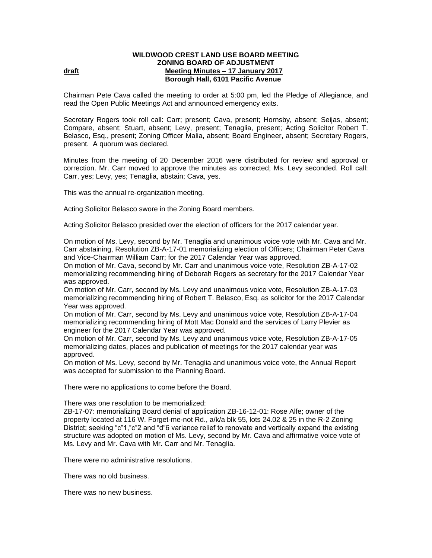## **WILDWOOD CREST LAND USE BOARD MEETING ZONING BOARD OF ADJUSTMENT draft Meeting Minutes – 17 January 2017 Borough Hall, 6101 Pacific Avenue**

Chairman Pete Cava called the meeting to order at 5:00 pm, led the Pledge of Allegiance, and read the Open Public Meetings Act and announced emergency exits.

Secretary Rogers took roll call: Carr; present; Cava, present; Hornsby, absent; Seijas, absent; Compare, absent; Stuart, absent; Levy, present; Tenaglia, present; Acting Solicitor Robert T. Belasco, Esq., present; Zoning Officer Malia, absent; Board Engineer, absent; Secretary Rogers, present.A quorum was declared.

Minutes from the meeting of 20 December 2016 were distributed for review and approval or correction. Mr. Carr moved to approve the minutes as corrected; Ms. Levy seconded. Roll call: Carr, yes; Levy, yes; Tenaglia, abstain; Cava, yes.

This was the annual re-organization meeting.

Acting Solicitor Belasco swore in the Zoning Board members.

Acting Solicitor Belasco presided over the election of officers for the 2017 calendar year.

On motion of Ms. Levy, second by Mr. Tenaglia and unanimous voice vote with Mr. Cava and Mr. Carr abstaining, Resolution ZB-A-17-01 memorializing election of Officers; Chairman Peter Cava and Vice-Chairman William Carr; for the 2017 Calendar Year was approved.

On motion of Mr. Cava, second by Mr. Carr and unanimous voice vote, Resolution ZB-A-17-02 memorializing recommending hiring of Deborah Rogers as secretary for the 2017 Calendar Year was approved.

On motion of Mr. Carr, second by Ms. Levy and unanimous voice vote, Resolution ZB-A-17-03 memorializing recommending hiring of Robert T. Belasco, Esq. as solicitor for the 2017 Calendar Year was approved.

On motion of Mr. Carr, second by Ms. Levy and unanimous voice vote, Resolution ZB-A-17-04 memorializing recommending hiring of Mott Mac Donald and the services of Larry Plevier as engineer for the 2017 Calendar Year was approved.

On motion of Mr. Carr, second by Ms. Levy and unanimous voice vote, Resolution ZB-A-17-05 memorializing dates, places and publication of meetings for the 2017 calendar year was approved.

On motion of Ms. Levy, second by Mr. Tenaglia and unanimous voice vote, the Annual Report was accepted for submission to the Planning Board.

There were no applications to come before the Board.

There was one resolution to be memorialized:

ZB-17-07: memorializing Board denial of application ZB-16-12-01: Rose Alfe; owner of the property located at 116 W. Forget-me-not Rd., a/k/a blk 55, lots 24.02 & 25 in the R-2 Zoning District; seeking "c"1,"c"2 and "d"6 variance relief to renovate and vertically expand the existing structure was adopted on motion of Ms. Levy, second by Mr. Cava and affirmative voice vote of Ms. Levy and Mr. Cava with Mr. Carr and Mr. Tenaglia.

There were no administrative resolutions.

There was no old business.

There was no new business.